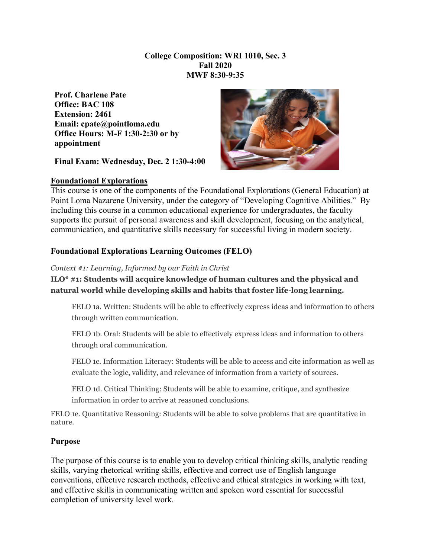#### **College Composition: WRI 1010, Sec. 3 Fall 2020 MWF 8:30-9:35**

**Prof. Charlene Pate Office: BAC 108 Extension: 2461 Email: cpate@pointloma.edu Office Hours: M-F 1:30-2:30 or by appointment** 

**Final Exam: Wednesday, Dec. 2 1:30-4:00**

## **Foundational Explorations**



This course is one of the components of the Foundational Explorations (General Education) at Point Loma Nazarene University, under the category of "Developing Cognitive Abilities." By including this course in a common educational experience for undergraduates, the faculty supports the pursuit of personal awareness and skill development, focusing on the analytical, communication, and quantitative skills necessary for successful living in modern society.

## **Foundational Explorations Learning Outcomes (FELO)**

#### *Context #1: Learning, Informed by our Faith in Christ*

**ILO\* #1: Students will acquire knowledge of human cultures and the physical and natural world while developing skills and habits that foster life-long learning.**

FELO 1a. Written: Students will be able to effectively express ideas and information to others through written communication.

FELO 1b. Oral: Students will be able to effectively express ideas and information to others through oral communication.

FELO 1c. Information Literacy: Students will be able to access and cite information as well as evaluate the logic, validity, and relevance of information from a variety of sources.

FELO 1d. Critical Thinking: Students will be able to examine, critique, and synthesize information in order to arrive at reasoned conclusions.

FELO 1e. Quantitative Reasoning: Students will be able to solve problems that are quantitative in nature.

## **Purpose**

The purpose of this course is to enable you to develop critical thinking skills, analytic reading skills, varying rhetorical writing skills, effective and correct use of English language conventions, effective research methods, effective and ethical strategies in working with text, and effective skills in communicating written and spoken word essential for successful completion of university level work.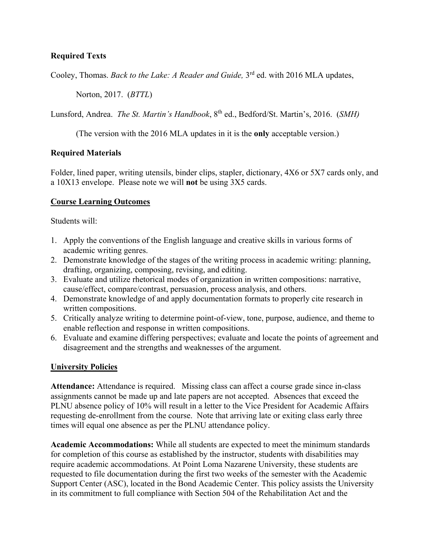## **Required Texts**

Cooley, Thomas. *Back to the Lake: A Reader and Guide*, 3<sup>rd</sup> ed. with 2016 MLA updates,

Norton, 2017. (*BTTL*)

Lunsford, Andrea. *The St. Martin's Handbook*, 8<sup>th</sup> ed., Bedford/St. Martin's, 2016. (*SMH*)

(The version with the 2016 MLA updates in it is the **only** acceptable version.)

#### **Required Materials**

Folder, lined paper, writing utensils, binder clips, stapler, dictionary, 4X6 or 5X7 cards only, and a 10X13 envelope. Please note we will **not** be using 3X5 cards.

#### **Course Learning Outcomes**

Students will:

- 1. Apply the conventions of the English language and creative skills in various forms of academic writing genres.
- 2. Demonstrate knowledge of the stages of the writing process in academic writing: planning, drafting, organizing, composing, revising, and editing.
- 3. Evaluate and utilize rhetorical modes of organization in written compositions: narrative, cause/effect, compare/contrast, persuasion, process analysis, and others.
- 4. Demonstrate knowledge of and apply documentation formats to properly cite research in written compositions.
- 5. Critically analyze writing to determine point-of-view, tone, purpose, audience, and theme to enable reflection and response in written compositions.
- 6. Evaluate and examine differing perspectives; evaluate and locate the points of agreement and disagreement and the strengths and weaknesses of the argument.

## **University Policies**

**Attendance:** Attendance is required. Missing class can affect a course grade since in-class assignments cannot be made up and late papers are not accepted. Absences that exceed the PLNU absence policy of 10% will result in a letter to the Vice President for Academic Affairs requesting de-enrollment from the course. Note that arriving late or exiting class early three times will equal one absence as per the PLNU attendance policy.

**Academic Accommodations:** While all students are expected to meet the minimum standards for completion of this course as established by the instructor, students with disabilities may require academic accommodations. At Point Loma Nazarene University, these students are requested to file documentation during the first two weeks of the semester with the Academic Support Center (ASC), located in the Bond Academic Center. This policy assists the University in its commitment to full compliance with Section 504 of the Rehabilitation Act and the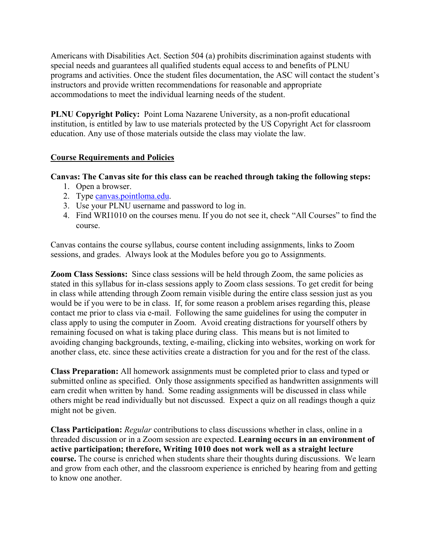Americans with Disabilities Act. Section 504 (a) prohibits discrimination against students with special needs and guarantees all qualified students equal access to and benefits of PLNU programs and activities. Once the student files documentation, the ASC will contact the student's instructors and provide written recommendations for reasonable and appropriate accommodations to meet the individual learning needs of the student.

**PLNU Copyright Policy:** Point Loma Nazarene University, as a non-profit educational institution, is entitled by law to use materials protected by the US Copyright Act for classroom education. Any use of those materials outside the class may violate the law.

#### **Course Requirements and Policies**

#### **Canvas: The Canvas site for this class can be reached through taking the following steps:**

- 1. Open a browser.
- 2. Type [canvas.pointloma.edu.](http://canvas.pointloma.edu/)
- 3. Use your PLNU username and password to log in.
- 4. Find WRI1010 on the courses menu. If you do not see it, check "All Courses" to find the course.

Canvas contains the course syllabus, course content including assignments, links to Zoom sessions, and grades. Always look at the Modules before you go to Assignments.

**Zoom Class Sessions:** Since class sessions will be held through Zoom, the same policies as stated in this syllabus for in-class sessions apply to Zoom class sessions. To get credit for being in class while attending through Zoom remain visible during the entire class session just as you would be if you were to be in class. If, for some reason a problem arises regarding this, please contact me prior to class via e-mail. Following the same guidelines for using the computer in class apply to using the computer in Zoom. Avoid creating distractions for yourself others by remaining focused on what is taking place during class. This means but is not limited to avoiding changing backgrounds, texting, e-mailing, clicking into websites, working on work for another class, etc. since these activities create a distraction for you and for the rest of the class.

**Class Preparation:** All homework assignments must be completed prior to class and typed or submitted online as specified. Only those assignments specified as handwritten assignments will earn credit when written by hand. Some reading assignments will be discussed in class while others might be read individually but not discussed. Expect a quiz on all readings though a quiz might not be given.

**Class Participation:** *Regular* contributions to class discussions whether in class, online in a threaded discussion or in a Zoom session are expected. **Learning occurs in an environment of active participation; therefore, Writing 1010 does not work well as a straight lecture course.** The course is enriched when students share their thoughts during discussions. We learn and grow from each other, and the classroom experience is enriched by hearing from and getting to know one another.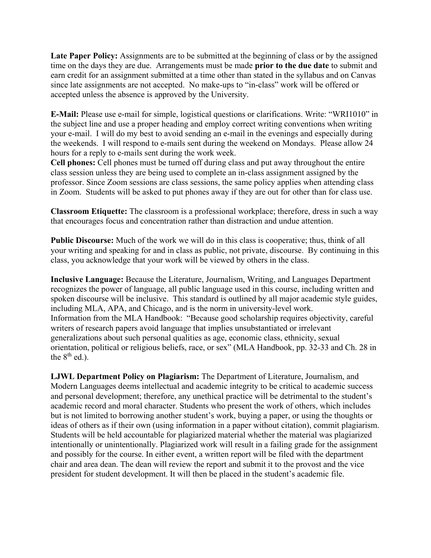**Late Paper Policy:** Assignments are to be submitted at the beginning of class or by the assigned time on the days they are due. Arrangements must be made **prior to the due date** to submit and earn credit for an assignment submitted at a time other than stated in the syllabus and on Canvas since late assignments are not accepted. No make-ups to "in-class" work will be offered or accepted unless the absence is approved by the University.

**E-Mail:** Please use e-mail for simple, logistical questions or clarifications. Write: "WRI1010" in the subject line and use a proper heading and employ correct writing conventions when writing your e-mail. I will do my best to avoid sending an e-mail in the evenings and especially during the weekends. I will respond to e-mails sent during the weekend on Mondays. Please allow 24 hours for a reply to e-mails sent during the work week.

**Cell phones:** Cell phones must be turned off during class and put away throughout the entire class session unless they are being used to complete an in-class assignment assigned by the professor. Since Zoom sessions are class sessions, the same policy applies when attending class in Zoom. Students will be asked to put phones away if they are out for other than for class use.

**Classroom Etiquette:** The classroom is a professional workplace; therefore, dress in such a way that encourages focus and concentration rather than distraction and undue attention.

**Public Discourse:** Much of the work we will do in this class is cooperative; thus, think of all your writing and speaking for and in class as public, not private, discourse. By continuing in this class, you acknowledge that your work will be viewed by others in the class.

**Inclusive Language:** Because the Literature, Journalism, Writing, and Languages Department recognizes the power of language, all public language used in this course, including written and spoken discourse will be inclusive. This standard is outlined by all major academic style guides, including MLA, APA, and Chicago, and is the norm in university-level work. Information from the MLA Handbook: "Because good scholarship requires objectivity, careful writers of research papers avoid language that implies unsubstantiated or irrelevant generalizations about such personal qualities as age, economic class, ethnicity, sexual orientation, political or religious beliefs, race, or sex" (MLA Handbook, pp. 32-33 and Ch. 28 in the  $8<sup>th</sup>$  ed.).

**LJWL Department Policy on Plagiarism:** The Department of Literature, Journalism, and Modern Languages deems intellectual and academic integrity to be critical to academic success and personal development; therefore, any unethical practice will be detrimental to the student's academic record and moral character. Students who present the work of others, which includes but is not limited to borrowing another student's work, buying a paper, or using the thoughts or ideas of others as if their own (using information in a paper without citation), commit plagiarism. Students will be held accountable for plagiarized material whether the material was plagiarized intentionally or unintentionally. Plagiarized work will result in a failing grade for the assignment and possibly for the course. In either event, a written report will be filed with the department chair and area dean. The dean will review the report and submit it to the provost and the vice president for student development. It will then be placed in the student's academic file.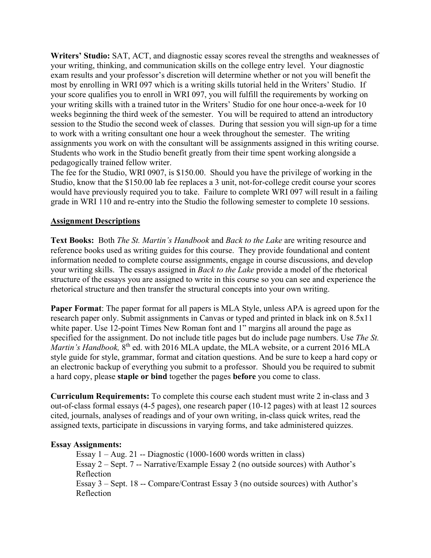**Writers' Studio:** SAT, ACT, and diagnostic essay scores reveal the strengths and weaknesses of your writing, thinking, and communication skills on the college entry level. Your diagnostic exam results and your professor's discretion will determine whether or not you will benefit the most by enrolling in WRI 097 which is a writing skills tutorial held in the Writers' Studio. If your score qualifies you to enroll in WRI 097, you will fulfill the requirements by working on your writing skills with a trained tutor in the Writers' Studio for one hour once-a-week for 10 weeks beginning the third week of the semester. You will be required to attend an introductory session to the Studio the second week of classes. During that session you will sign-up for a time to work with a writing consultant one hour a week throughout the semester. The writing assignments you work on with the consultant will be assignments assigned in this writing course. Students who work in the Studio benefit greatly from their time spent working alongside a pedagogically trained fellow writer.

The fee for the Studio, WRI 0907, is \$150.00. Should you have the privilege of working in the Studio, know that the \$150.00 lab fee replaces a 3 unit, not-for-college credit course your scores would have previously required you to take. Failure to complete WRI 097 will result in a failing grade in WRI 110 and re-entry into the Studio the following semester to complete 10 sessions.

#### **Assignment Descriptions**

**Text Books:** Both *The St. Martin's Handbook* and *Back to the Lake* are writing resource and reference books used as writing guides for this course. They provide foundational and content information needed to complete course assignments, engage in course discussions, and develop your writing skills. The essays assigned in *Back to the Lake* provide a model of the rhetorical structure of the essays you are assigned to write in this course so you can see and experience the rhetorical structure and then transfer the structural concepts into your own writing.

**Paper Format**: The paper format for all papers is MLA Style, unless APA is agreed upon for the research paper only. Submit assignments in Canvas or typed and printed in black ink on 8.5x11 white paper. Use 12-point Times New Roman font and 1" margins all around the page as specified for the assignment. Do not include title pages but do include page numbers. Use *The St. Martin's Handbook*, 8<sup>th</sup> ed. with 2016 MLA update, the MLA website, or a current 2016 MLA style guide for style, grammar, format and citation questions. And be sure to keep a hard copy or an electronic backup of everything you submit to a professor. Should you be required to submit a hard copy, please **staple or bind** together the pages **before** you come to class.

**Curriculum Requirements:** To complete this course each student must write 2 in-class and 3 out-of-class formal essays (4-5 pages), one research paper (10-12 pages) with at least 12 sources cited, journals, analyses of readings and of your own writing, in-class quick writes, read the assigned texts, participate in discussions in varying forms, and take administered quizzes.

#### **Essay Assignments:**

Essay  $1 - Aug. 21 - Diagnostic (1000-1600 words written in class)$ Essay 2 – Sept. 7 -- Narrative/Example Essay 2 (no outside sources) with Author's Reflection Essay 3 – Sept. 18 -- Compare/Contrast Essay 3 (no outside sources) with Author's Reflection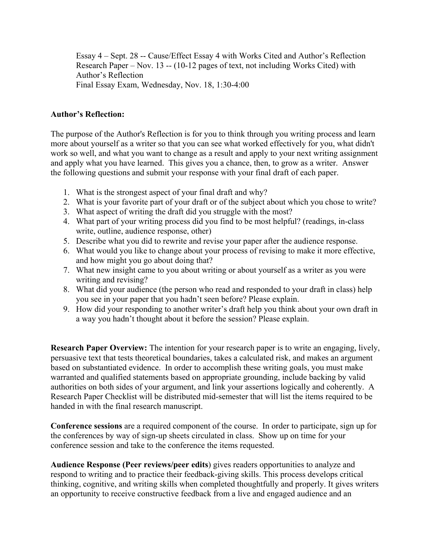Essay 4 – Sept. 28 -- Cause/Effect Essay 4 with Works Cited and Author's Reflection Research Paper – Nov. 13 -- (10-12 pages of text, not including Works Cited) with Author's Reflection Final Essay Exam, Wednesday, Nov. 18, 1:30-4:00

#### **Author's Reflection:**

The purpose of the Author's Reflection is for you to think through you writing process and learn more about yourself as a writer so that you can see what worked effectively for you, what didn't work so well, and what you want to change as a result and apply to your next writing assignment and apply what you have learned. This gives you a chance, then, to grow as a writer. Answer the following questions and submit your response with your final draft of each paper.

- 1. What is the strongest aspect of your final draft and why?
- 2. What is your favorite part of your draft or of the subject about which you chose to write?
- 3. What aspect of writing the draft did you struggle with the most?
- 4. What part of your writing process did you find to be most helpful? (readings, in-class write, outline, audience response, other)
- 5. Describe what you did to rewrite and revise your paper after the audience response.
- 6. What would you like to change about your process of revising to make it more effective, and how might you go about doing that?
- 7. What new insight came to you about writing or about yourself as a writer as you were writing and revising?
- 8. What did your audience (the person who read and responded to your draft in class) help you see in your paper that you hadn't seen before? Please explain.
- 9. How did your responding to another writer's draft help you think about your own draft in a way you hadn't thought about it before the session? Please explain.

**Research Paper Overview:** The intention for your research paper is to write an engaging, lively, persuasive text that tests theoretical boundaries, takes a calculated risk, and makes an argument based on substantiated evidence. In order to accomplish these writing goals, you must make warranted and qualified statements based on appropriate grounding, include backing by valid authorities on both sides of your argument, and link your assertions logically and coherently. A Research Paper Checklist will be distributed mid-semester that will list the items required to be handed in with the final research manuscript.

**Conference sessions** are a required component of the course. In order to participate, sign up for the conferences by way of sign-up sheets circulated in class. Show up on time for your conference session and take to the conference the items requested.

**Audience Response (Peer reviews/peer edits**) gives readers opportunities to analyze and respond to writing and to practice their feedback-giving skills. This process develops critical thinking, cognitive, and writing skills when completed thoughtfully and properly. It gives writers an opportunity to receive constructive feedback from a live and engaged audience and an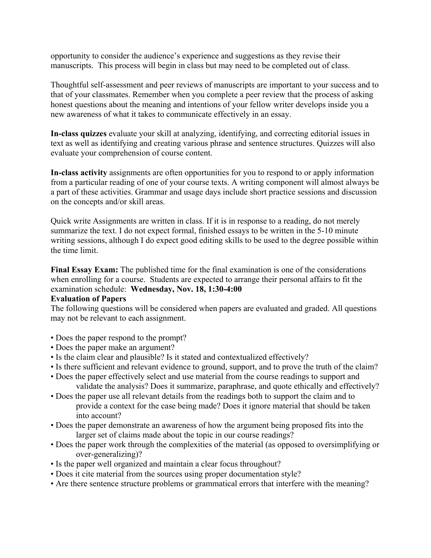opportunity to consider the audience's experience and suggestions as they revise their manuscripts. This process will begin in class but may need to be completed out of class.

Thoughtful self-assessment and peer reviews of manuscripts are important to your success and to that of your classmates. Remember when you complete a peer review that the process of asking honest questions about the meaning and intentions of your fellow writer develops inside you a new awareness of what it takes to communicate effectively in an essay.

**In-class quizzes** evaluate your skill at analyzing, identifying, and correcting editorial issues in text as well as identifying and creating various phrase and sentence structures. Quizzes will also evaluate your comprehension of course content.

**In-class activity** assignments are often opportunities for you to respond to or apply information from a particular reading of one of your course texts. A writing component will almost always be a part of these activities. Grammar and usage days include short practice sessions and discussion on the concepts and/or skill areas.

Quick write Assignments are written in class. If it is in response to a reading, do not merely summarize the text. I do not expect formal, finished essays to be written in the 5-10 minute writing sessions, although I do expect good editing skills to be used to the degree possible within the time limit.

**Final Essay Exam:** The published time for the final examination is one of the considerations when enrolling for a course. Students are expected to arrange their personal affairs to fit the examination schedule: **Wednesday, Nov. 18, 1:30-4:00** 

#### **Evaluation of Papers**

The following questions will be considered when papers are evaluated and graded. All questions may not be relevant to each assignment.

- Does the paper respond to the prompt?
- Does the paper make an argument?
- Is the claim clear and plausible? Is it stated and contextualized effectively?
- Is there sufficient and relevant evidence to ground, support, and to prove the truth of the claim?
- Does the paper effectively select and use material from the course readings to support and validate the analysis? Does it summarize, paraphrase, and quote ethically and effectively?
- Does the paper use all relevant details from the readings both to support the claim and to provide a context for the case being made? Does it ignore material that should be taken into account?
- Does the paper demonstrate an awareness of how the argument being proposed fits into the larger set of claims made about the topic in our course readings?
- Does the paper work through the complexities of the material (as opposed to oversimplifying or over-generalizing)?
- Is the paper well organized and maintain a clear focus throughout?
- Does it cite material from the sources using proper documentation style?
- Are there sentence structure problems or grammatical errors that interfere with the meaning?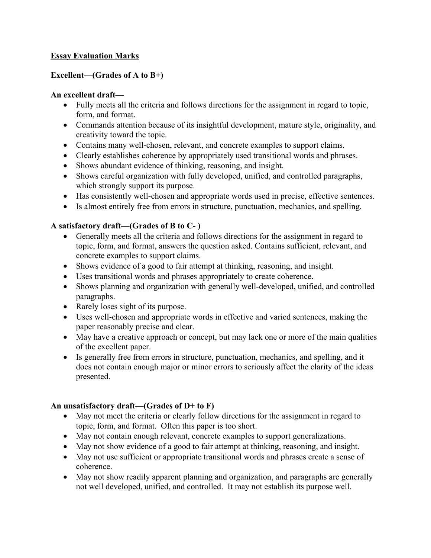## **Essay Evaluation Marks**

## **Excellent—(Grades of A to B+)**

## **An excellent draft—**

- Fully meets all the criteria and follows directions for the assignment in regard to topic, form, and format.
- Commands attention because of its insightful development, mature style, originality, and creativity toward the topic.
- Contains many well-chosen, relevant, and concrete examples to support claims.
- Clearly establishes coherence by appropriately used transitional words and phrases.
- Shows abundant evidence of thinking, reasoning, and insight.
- Shows careful organization with fully developed, unified, and controlled paragraphs, which strongly support its purpose.
- Has consistently well-chosen and appropriate words used in precise, effective sentences.
- Is almost entirely free from errors in structure, punctuation, mechanics, and spelling.

## **A satisfactory draft—(Grades of B to C- )**

- Generally meets all the criteria and follows directions for the assignment in regard to topic, form, and format, answers the question asked. Contains sufficient, relevant, and concrete examples to support claims.
- Shows evidence of a good to fair attempt at thinking, reasoning, and insight.
- Uses transitional words and phrases appropriately to create coherence.
- Shows planning and organization with generally well-developed, unified, and controlled paragraphs.
- Rarely loses sight of its purpose.
- Uses well-chosen and appropriate words in effective and varied sentences, making the paper reasonably precise and clear.
- May have a creative approach or concept, but may lack one or more of the main qualities of the excellent paper.
- Is generally free from errors in structure, punctuation, mechanics, and spelling, and it does not contain enough major or minor errors to seriously affect the clarity of the ideas presented.

## **An unsatisfactory draft—(Grades of D+ to F)**

- May not meet the criteria or clearly follow directions for the assignment in regard to topic, form, and format. Often this paper is too short.
- May not contain enough relevant, concrete examples to support generalizations.
- May not show evidence of a good to fair attempt at thinking, reasoning, and insight.
- May not use sufficient or appropriate transitional words and phrases create a sense of coherence.
- May not show readily apparent planning and organization, and paragraphs are generally not well developed, unified, and controlled. It may not establish its purpose well.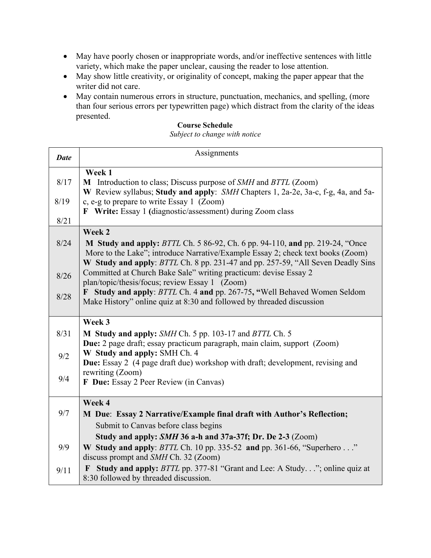- May have poorly chosen or inappropriate words, and/or ineffective sentences with little variety, which make the paper unclear, causing the reader to lose attention.
- May show little creativity, or originality of concept, making the paper appear that the writer did not care.
- May contain numerous errors in structure, punctuation, mechanics, and spelling, (more than four serious errors per typewritten page) which distract from the clarity of the ideas presented.

## **Course Schedule**

*Subject to change with notice*

| <b>Date</b> | Assignments                                                                                                                                                                                           |  |  |  |  |  |
|-------------|-------------------------------------------------------------------------------------------------------------------------------------------------------------------------------------------------------|--|--|--|--|--|
| 8/17        | Week 1<br>M Introduction to class; Discuss purpose of SMH and BTTL (Zoom)<br>W Review syllabus; Study and apply: SMH Chapters 1, 2a-2e, 3a-c, f-g, 4a, and 5a-                                        |  |  |  |  |  |
| 8/19        | c, e-g to prepare to write Essay 1 (Zoom)<br>F Write: Essay 1 (diagnostic/assessment) during Zoom class                                                                                               |  |  |  |  |  |
| $8/21$      |                                                                                                                                                                                                       |  |  |  |  |  |
| 8/24        | Week 2<br>M Study and apply: BTTL Ch. 5 86-92, Ch. 6 pp. 94-110, and pp. 219-24, "Once<br>More to the Lake"; introduce Narrative/Example Essay 2; check text books (Zoom)                             |  |  |  |  |  |
| $8/26$      | W Study and apply: BTTL Ch. 8 pp. 231-47 and pp. 257-59, "All Seven Deadly Sins<br>Committed at Church Bake Sale" writing practicum: devise Essay 2<br>plan/topic/thesis/focus; review Essay 1 (Zoom) |  |  |  |  |  |
| 8/28        | Study and apply: BTTL Ch. 4 and pp. 267-75, "Well Behaved Women Seldom<br>$\mathbf{F}$<br>Make History" online quiz at 8:30 and followed by threaded discussion                                       |  |  |  |  |  |
|             | Week 3                                                                                                                                                                                                |  |  |  |  |  |
| 8/31        | M Study and apply: SMH Ch. 5 pp. 103-17 and BTTL Ch. 5<br>Due: 2 page draft; essay practicum paragraph, main claim, support (Zoom)                                                                    |  |  |  |  |  |
| 9/2         | W Study and apply: SMH Ch. 4<br><b>Due:</b> Essay 2 (4 page draft due) workshop with draft; development, revising and                                                                                 |  |  |  |  |  |
| 9/4         | rewriting (Zoom)<br>F Due: Essay 2 Peer Review (in Canvas)                                                                                                                                            |  |  |  |  |  |
|             | Week 4                                                                                                                                                                                                |  |  |  |  |  |
| 9/7         | M Due: Essay 2 Narrative/Example final draft with Author's Reflection;<br>Submit to Canvas before class begins                                                                                        |  |  |  |  |  |
|             | Study and apply: SMH 36 a-h and 37a-37f; Dr. De 2-3 (Zoom)                                                                                                                                            |  |  |  |  |  |
| 9/9         | W Study and apply: BTTL Ch. 10 pp. 335-52 and pp. 361-66, "Superhero "<br>discuss prompt and SMH Ch. 32 (Zoom)                                                                                        |  |  |  |  |  |
| 9/11        | <b>Study and apply:</b> BTTL pp. 377-81 "Grant and Lee: A Study"; online quiz at<br>$\mathbf{F}$<br>8:30 followed by threaded discussion.                                                             |  |  |  |  |  |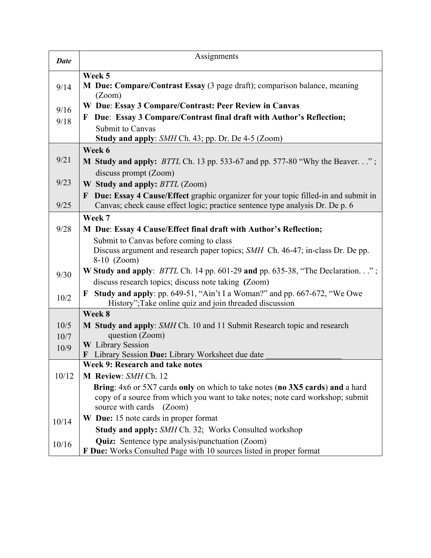| <b>Date</b>  | Assignments                                                                                                                                                                         |
|--------------|-------------------------------------------------------------------------------------------------------------------------------------------------------------------------------------|
| 9/14         | Week 5<br>M Due: Compare/Contrast Essay (3 page draft); comparison balance, meaning<br>(Zoom)                                                                                       |
| 9/16<br>9/18 | W Due: Essay 3 Compare/Contrast: Peer Review in Canvas<br>Due: Essay 3 Compare/Contrast final draft with Author's Reflection;<br>F<br>Submit to Canvas                              |
|              | <b>Study and apply:</b> SMH Ch. 43; pp. Dr. De 4-5 (Zoom)                                                                                                                           |
|              | Week 6                                                                                                                                                                              |
| 9/21         | <b>M Study and apply:</b> BTTL Ch. 13 pp. 533-67 and pp. 577-80 "Why the Beaver";                                                                                                   |
|              | discuss prompt (Zoom)                                                                                                                                                               |
| 9/23         | W Study and apply: BTTL (Zoom)                                                                                                                                                      |
| 9/25         | Due: Essay 4 Cause/Effect graphic organizer for your topic filled-in and submit in<br>$\mathbf{F}$<br>Canvas; check cause effect logic; practice sentence type analysis Dr. De p. 6 |
|              | Week 7                                                                                                                                                                              |
| 9/28         | M Due: Essay 4 Cause/Effect final draft with Author's Reflection;                                                                                                                   |
|              | Submit to Canvas before coming to class                                                                                                                                             |
|              | Discuss argument and research paper topics; SMH Ch. 46-47; in-class Dr. De pp.<br>$8-10$ (Zoom)                                                                                     |
| 9/30         | <b>W</b> Study and apply: <i>BTTL</i> Ch. 14 pp. 601-29 and pp. 635-38, "The Declaration";<br>discuss research topics; discuss note taking (Zoom)                                   |
| 10/2         | <b>F</b> Study and apply: pp. 649-51, "Ain't I a Woman?" and pp. 667-672, "We Owe<br>History"; Take online quiz and join threaded discussion                                        |
|              | Week 8                                                                                                                                                                              |
| 10/5         | M Study and apply: SMH Ch. 10 and 11 Submit Research topic and research                                                                                                             |
| 10/7         | question (Zoom)                                                                                                                                                                     |
| 10/9         | <b>W</b> Library Session<br>Library Session Due: Library Worksheet due date<br>$\bf{F}$                                                                                             |
|              | Week 9: Research and take notes                                                                                                                                                     |
| 10/12        | M Review: SMH Ch. 12                                                                                                                                                                |
|              | Bring: 4x6 or 5X7 cards only on which to take notes (no 3X5 cards) and a hard                                                                                                       |
|              | copy of a source from which you want to take notes; note card workshop; submit<br>source with cards (Zoom)                                                                          |
| 10/14        | W Due: 15 note cards in proper format                                                                                                                                               |
|              | Study and apply: SMH Ch. 32; Works Consulted workshop                                                                                                                               |
| 10/16        | <b>Quiz:</b> Sentence type analysis/punctuation (Zoom)<br>F Due: Works Consulted Page with 10 sources listed in proper format                                                       |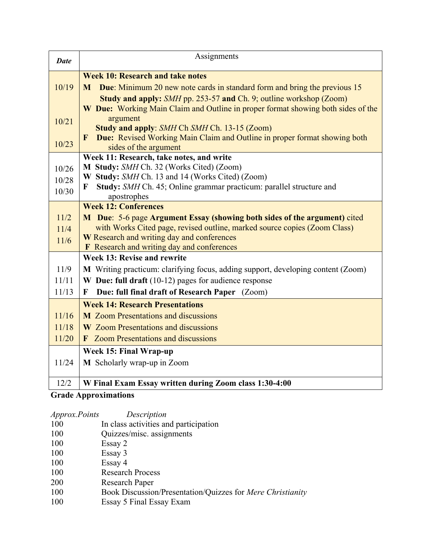| <b>Date</b> | Assignments                                                                                                                               |  |  |  |  |  |
|-------------|-------------------------------------------------------------------------------------------------------------------------------------------|--|--|--|--|--|
|             | <b>Week 10: Research and take notes</b>                                                                                                   |  |  |  |  |  |
| 10/19       | <b>M</b> Due: Minimum 20 new note cards in standard form and bring the previous 15                                                        |  |  |  |  |  |
|             | Study and apply: SMH pp. 253-57 and Ch. 9; outline workshop (Zoom)                                                                        |  |  |  |  |  |
|             | W Due: Working Main Claim and Outline in proper format showing both sides of the                                                          |  |  |  |  |  |
| 10/21       | argument                                                                                                                                  |  |  |  |  |  |
|             | Study and apply: SMH Ch SMH Ch. 13-15 (Zoom)<br>Due: Revised Working Main Claim and Outline in proper format showing both<br>$\mathbf{F}$ |  |  |  |  |  |
| 10/23       | sides of the argument                                                                                                                     |  |  |  |  |  |
|             | Week 11: Research, take notes, and write                                                                                                  |  |  |  |  |  |
| 10/26       | M Study: SMH Ch. 32 (Works Cited) (Zoom)                                                                                                  |  |  |  |  |  |
| 10/28       | W Study: SMH Ch. 13 and 14 (Works Cited) (Zoom)                                                                                           |  |  |  |  |  |
| 10/30       | Study: SMH Ch. 45; Online grammar practicum: parallel structure and<br>$\mathbf F$                                                        |  |  |  |  |  |
|             | apostrophes                                                                                                                               |  |  |  |  |  |
|             | <b>Week 12: Conferences</b>                                                                                                               |  |  |  |  |  |
| 11/2        | M Due: 5-6 page Argument Essay (showing both sides of the argument) cited                                                                 |  |  |  |  |  |
| 11/4        | with Works Cited page, revised outline, marked source copies (Zoom Class)                                                                 |  |  |  |  |  |
| 11/6        | W Research and writing day and conferences<br>F Research and writing day and conferences                                                  |  |  |  |  |  |
|             | Week 13: Revise and rewrite                                                                                                               |  |  |  |  |  |
| 11/9        | M Writing practicum: clarifying focus, adding support, developing content (Zoom)                                                          |  |  |  |  |  |
| 11/11       | W Due: full draft $(10-12)$ pages for audience response                                                                                   |  |  |  |  |  |
| 11/13       | Due: full final draft of Research Paper (Zoom)<br>$\mathbf{F}$                                                                            |  |  |  |  |  |
|             | <b>Week 14: Research Presentations</b>                                                                                                    |  |  |  |  |  |
| 11/16       | <b>M</b> Zoom Presentations and discussions                                                                                               |  |  |  |  |  |
| 11/18       | <b>W</b> Zoom Presentations and discussions                                                                                               |  |  |  |  |  |
| 11/20       | <b>F</b> Zoom Presentations and discussions                                                                                               |  |  |  |  |  |
|             | Week 15: Final Wrap-up                                                                                                                    |  |  |  |  |  |
| 11/24       | M Scholarly wrap-up in Zoom                                                                                                               |  |  |  |  |  |
| 12/2        | W Final Exam Essay written during Zoom class 1:30-4:00                                                                                    |  |  |  |  |  |

# **Grade Approximations**

| <i>Approx.Points</i> | Description                                                |
|----------------------|------------------------------------------------------------|
| 100                  | In class activities and participation                      |
| 100                  | Quizzes/misc. assignments                                  |
| 100                  | Essay 2                                                    |
| 100                  | Essay 3                                                    |
| 100                  | Essay 4                                                    |
| 100                  | <b>Research Process</b>                                    |
| 200                  | Research Paper                                             |
| 100                  | Book Discussion/Presentation/Quizzes for Mere Christianity |
| 100                  | Essay 5 Final Essay Exam                                   |